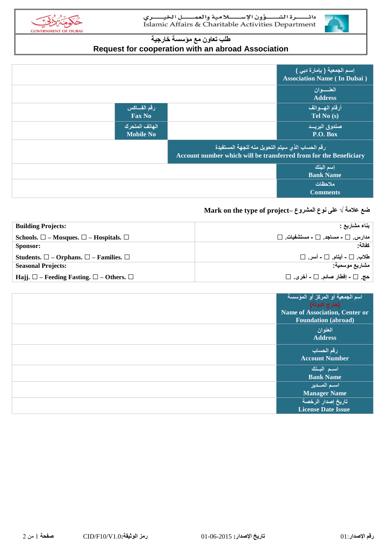

### **طلب تعاون مع مؤسسة خارجية Request for cooperation with an abroad Association**

|                                    |                                                                                                                                    | إسم الجمعية ( بإمارة دبي )<br><b>Association Name (In Dubai)</b> |
|------------------------------------|------------------------------------------------------------------------------------------------------------------------------------|------------------------------------------------------------------|
|                                    |                                                                                                                                    | العنسسوان<br><b>Address</b>                                      |
| رقم الفساكس<br><b>Fax No</b>       |                                                                                                                                    | أرقام المهسواتف<br>Tel No (s)                                    |
| الهاتف المتحرك<br><b>Mobile No</b> |                                                                                                                                    | صندوق البريسد<br>P.O. Box                                        |
|                                    | رقم الحساب الذي سيتم التحويل منه للجهة المستفيدة <sup>ا</sup><br>Account number which will be transferred from for the Beneficiary |                                                                  |
|                                    |                                                                                                                                    | إسم البنك<br><b>Bank Name</b>                                    |
|                                    |                                                                                                                                    | ملاحظات<br><b>Comments</b>                                       |

### **Mark on the type of project– المشروع نوع على √ عالمة ضع**

| <b>Building Projects:</b>                                        | بناء مشاريع :                                 |
|------------------------------------------------------------------|-----------------------------------------------|
| Schools. $\square$ - Mosques. $\square$ - Hospitals. $\square$   | $\Box$ مدارس $\Box$ - مساجد $\Box$ - مستشفیات |
| Sponsor:                                                         | كفالة                                         |
| Students. $\square$ – Orphans. $\square$ – Families. $\square$   | طلاب . □ - أيتام. □ - أسر. □                  |
| <b>Seasonal Projects:</b>                                        | مشاريع موسمية.                                |
| Hajj. $\square$ – Feeding Fasting. $\square$ – Others. $\square$ | حج. □ - إفطار صائم. □ - أخرى. □               |

| اسم الجمعية أو المركز أو المؤسسة<br>( <b>خ</b> ارج الدولة)          |
|---------------------------------------------------------------------|
| <b>Name of Association, Center or</b><br><b>Foundation</b> (abroad) |
| المعنوان<br><b>Address</b>                                          |
| رقم الحساب<br><b>Account Number</b>                                 |
| اسم البنك<br><b>Bank Name</b>                                       |
| استم المسدير<br><b>Manager Name</b>                                 |
| تاريخ إصدار الرخصة<br><b>License Date Issue</b>                     |